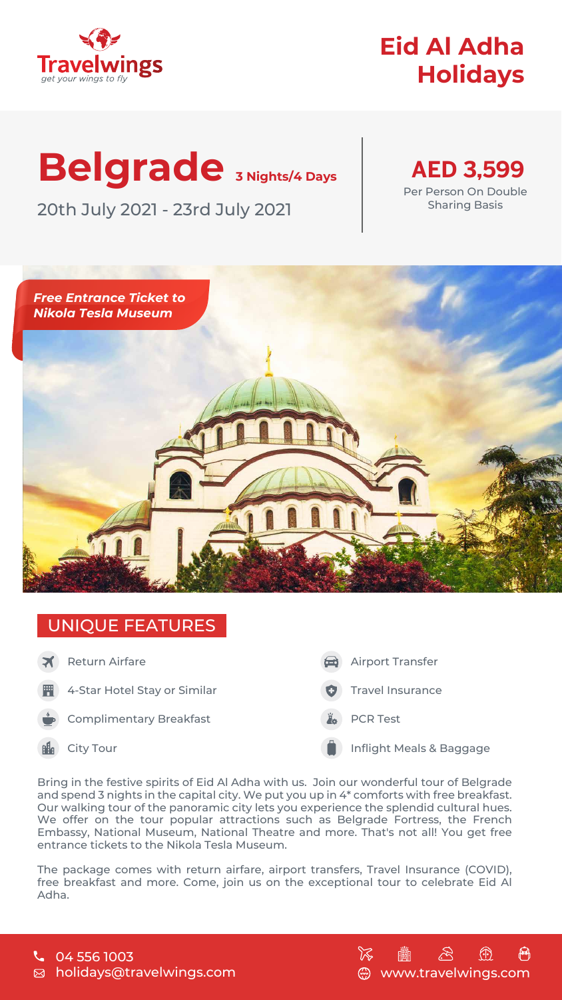## UNIQUE FEATURES



# **Eid Al Adha Holidays**

# **Belgrade 3 Nights/4 Days** 20th July 2021 - 23rd July 2021



Per Person On Double Sharing Basis



#### holidays@travelwings.com  $\boxtimes$



Bring in the festive spirits of Eid Al Adha with us. Join our wonderful tour of Belgrade and spend 3 nights in the capital city. We put you up in 4\* comforts with free breakfast. Our walking tour of the panoramic city lets you experience the splendid cultural hues. We offer on the tour popular attractions such as Belgrade Fortress, the French Embassy, National Museum, National Theatre and more. That's not all! You get free entrance tickets to the Nikola Tesla Museum.

The package comes with return airfare, airport transfers, Travel Insurance (COVID), free breakfast and more. Come, join us on the exceptional tour to celebrate Eid Al Adha.





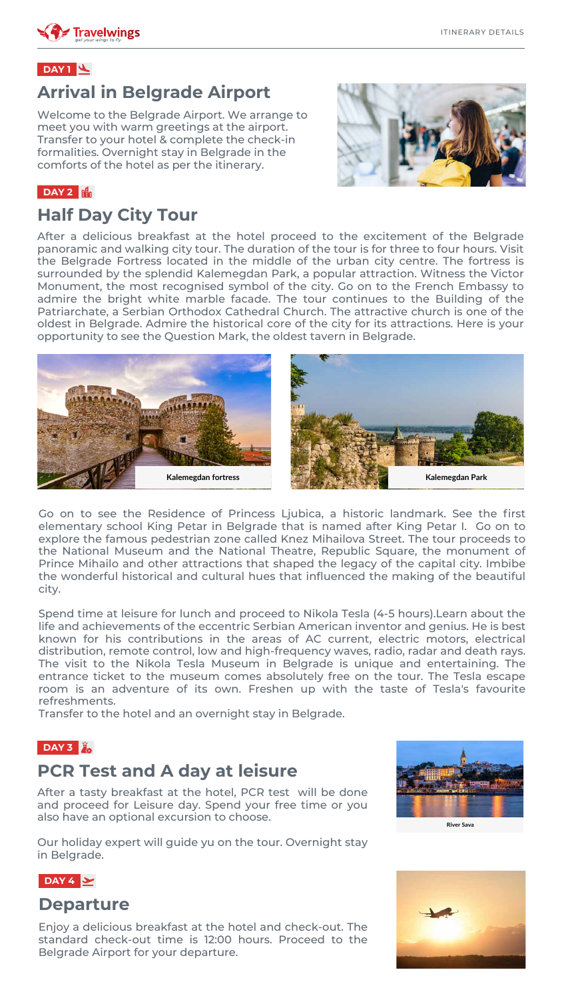#### **Arrival in Belgrade Airport**

Welcome to the Belgrade Airport. We arrange to meet you with warm greetings at the airport. Transfer to your hotel & complete the check-in formalities. Overnight stay in Belgrade in the comforts of the hotel as per the itinerary.



#### **DAY 2**

## **Half Day City Tour**

After a delicious breakfast at the hotel proceed to the excitement of the Belgrade panoramic and walking city tour. The duration of the tour is for three to four hours. Visit the Belgrade Fortress located in the middle of the urban city centre. The fortress is surrounded by the splendid Kalemegdan Park, a popular attraction. Witness the Victor Monument, the most recognised symbol of the city. Go on to the French Embassy to admire the bright white marble facade. The tour continues to the Building of the Patriarchate, a Serbian Orthodox Cathedral Church. The attractive church is one of the oldest in Belgrade. Admire the historical core of the city for its attractions. Here is your opportunity to see the Question Mark, the oldest tavern in Belgrade.



#### **PCR Test and A day at leisure**

After a tasty breakfast at the hotel, PCR test will be done and proceed for Leisure day. Spend your free time or you also have an optional excursion to choose.



Our holiday expert will guide yu on the tour. Overnight stay in Belgrade.

**River Sava**



#### **DAY 1**

#### **Departure**

Enjoy a delicious breakfast at the hotel and check-out. The



#### standard check-out time is 12:00 hours. Proceed to the

#### Belgrade Airport for your departure.







Go on to see the Residence of Princess Ljubica, a historic landmark. See the first elementary school King Petar in Belgrade that is named after King Petar I. Go on to explore the famous pedestrian zone called Knez Mihailova Street. The tour proceeds to the National Museum and the National Theatre, Republic Square, the monument of Prince Mihailo and other attractions that shaped the legacy of the capital city. Imbibe the wonderful historical and cultural hues that influenced the making of the beautiful city.

Spend time at leisure for lunch and proceed to Nikola Tesla (4-5 hours).Learn about the life and achievements of the eccentric Serbian American inventor and genius. He is best known for his contributions in the areas of AC current, electric motors, electrical distribution, remote control, low and high-frequency waves, radio, radar and death rays. The visit to the Nikola Tesla Museum in Belgrade is unique and entertaining. The entrance ticket to the museum comes absolutely free on the tour. The Tesla escape room is an adventure of its own. Freshen up with the taste of Tesla's favourite refreshments.

Transfer to the hotel and an overnight stay in Belgrade.

#### **DAY 3**  $\ddot{z}$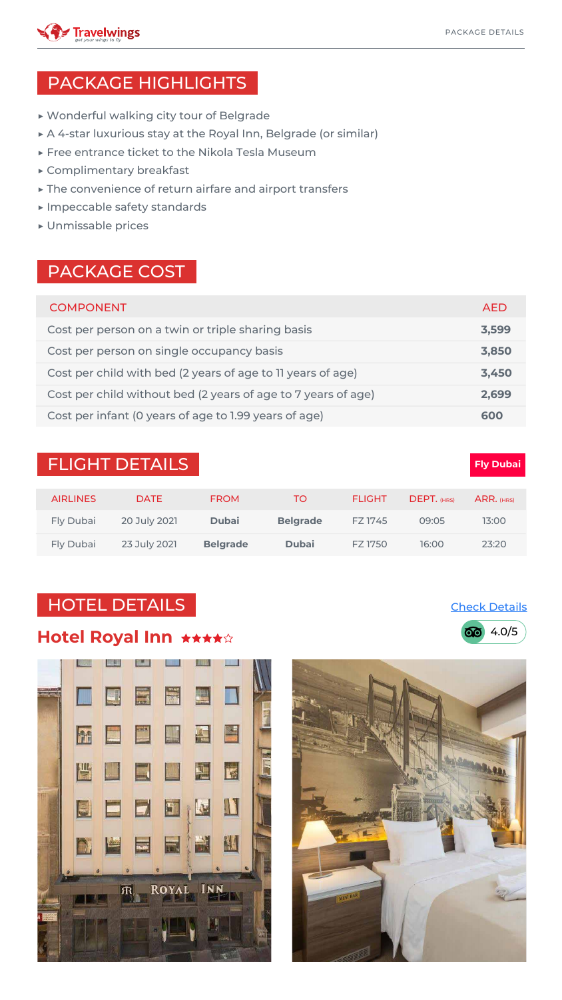| <b>COMPONENT</b>                                              | <b>AED</b> |
|---------------------------------------------------------------|------------|
| Cost per person on a twin or triple sharing basis             | 3,599      |
| Cost per person on single occupancy basis                     | 3,850      |
| Cost per child with bed (2 years of age to 11 years of age)   | 3,450      |
| Cost per child without bed (2 years of age to 7 years of age) | 2,699      |
| Cost per infant (0 years of age to 1.99 years of age)         | 600        |

#### **FLIGHT DETAILS**

- ▶ Wonderful walking city tour of Belgrade
- ▶ A 4-star luxurious stay at the Royal Inn, Belgrade (or similar)
- ▶ Free entrance ticket to the Nikola Tesla Museum
- ▶ Complimentary breakfast
- ▶ The convenience of return airfare and airport transfers
- ▶ Impeccable safety standards
- ▶ Unmissable prices

### PACKAGE HIGHLIGHTS

#### PACKAGE COST



| <b>AIRLINES</b>  | <b>DATE</b>  | <b>FROM</b>     | TO.             | <b>FLIGHT</b> | DEPT. (HRS) | $ARR.$ (HRS) |
|------------------|--------------|-----------------|-----------------|---------------|-------------|--------------|
| <b>Fly Dubai</b> | 20 July 2021 | <b>Dubai</b>    | <b>Belgrade</b> | FZ 1745       | 09:05       | 13:00        |
| <b>Fly Dubai</b> | 23 July 2021 | <b>Belgrade</b> | <b>Dubai</b>    | FZ 1750       | 16:00       | 23:20        |

# HOTEL DETAILS

#### **Hotel Royal Inn \*\*\*\*\***







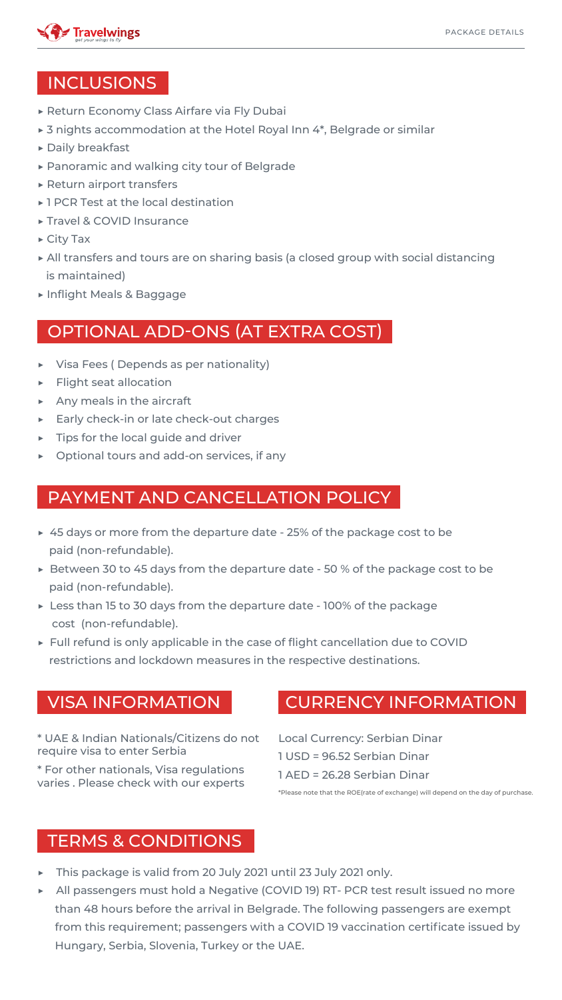

#### INCLUSIONS

- This package is valid from 20 July 2021 until 23 July 2021 only.
- ▶ All passengers must hold a Negative (COVID 19) RT- PCR test result issued no more than 48 hours before the arrival in Belgrade. The following passengers are exempt from this requirement; passengers with a COVID 19 vaccination certificate issued by

#### Hungary, Serbia, Slovenia, Turkey or the UAE.

- ▶ Visa Fees ( Depends as per nationality)
- ▶ Flight seat allocation
- ▶ Any meals in the aircraft
- ▶ Early check-in or late check-out charges
- ▶ Tips for the local guide and driver
- ▶ Optional tours and add-on services, if any

- ▶ 45 days or more from the departure date 25% of the package cost to be paid (non-refundable).
- ▶ Between 30 to 45 days from the departure date 50 % of the package cost to be paid (non-refundable).
- ▶ Less than 15 to 30 days from the departure date 100% of the package cost (non-refundable).
- ▶ Full refund is only applicable in the case of flight cancellation due to COVID restrictions and lockdown measures in the respective destinations.

# OPTIONAL ADD-ONS (AT EXTRA COST)

# PAYMENT AND CANCELLATION POLICY

\* UAE & Indian Nationals/Citizens do not require visa to enter Serbia

\* For other nationals, Visa regulations varies . Please check with our experts

# VISA INFORMATION CURRENCY INFORMATION

- Local Currency: Serbian Dinar
- 1 USD = 96.52 Serbian Dinar
- 1 AED = 26.28 Serbian Dinar

\*Please note that the ROE(rate of exchange) will depend on the day of purchase.

#### TERMS & CONDITIONS

- ▶ Return Economy Class Airfare via Fly Dubai
- ▶ 3 nights accommodation at the Hotel Royal Inn 4\*, Belgrade or similar
- ▶ Daily breakfast
- ▶ Panoramic and walking city tour of Belgrade
- ▶ Return airport transfers
- ▶ 1 PCR Test at the local destination
- ▶ Travel & COVID Insurance
- ▶ City Tax
- ▶ All transfers and tours are on sharing basis (a closed group with social distancing is maintained)
- ▶ Inflight Meals & Baggage